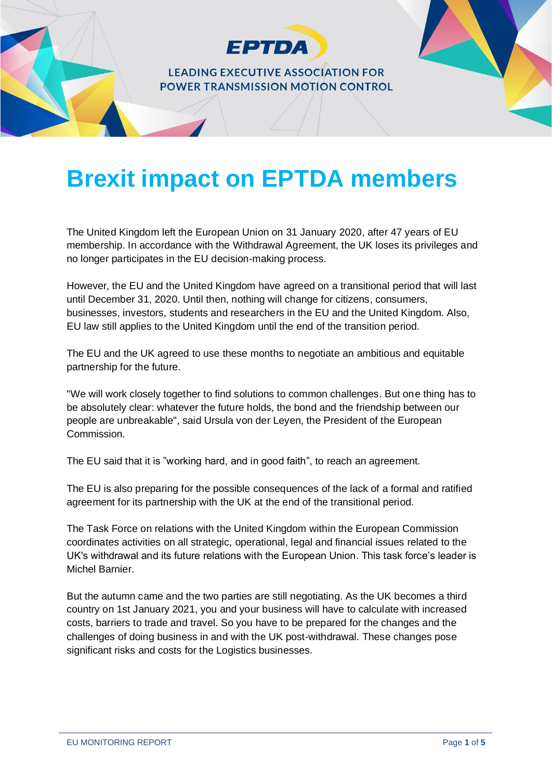

# **Brexit impact on EPTDA members**

The United Kingdom left the European Union on 31 January 2020, after 47 years of EU membership. In accordance with the Withdrawal Agreement, the UK loses its privileges and no longer participates in the EU decision-making process.

However, the EU and the United Kingdom have agreed on a transitional period that will last until December 31, 2020. Until then, nothing will change for citizens, consumers, businesses, investors, students and researchers in the EU and the United Kingdom. Also, EU law still applies to the United Kingdom until the end of the transition period.

The EU and the UK agreed to use these months to negotiate an ambitious and equitable partnership for the future.

"We will work closely together to find solutions to common challenges. But one thing has to be absolutely clear: whatever the future holds, the bond and the friendship between our people are unbreakable", said Ursula von der Leyen, the President of the European Commission.

The EU said that it is "working hard, and in good faith", to reach an agreement.

The EU is also preparing for the possible consequences of the lack of a formal and ratified agreement for its partnership with the UK at the end of the transitional period.

The Task Force on relations with the United Kingdom within the European Commission coordinates activities on all strategic, operational, legal and financial issues related to the UK's withdrawal and its future relations with the European Union. This task force's leader is Michel Barnier.

But the autumn came and the two parties are still negotiating. As the UK becomes a third country on 1st January 2021, you and your business will have to calculate with increased costs, barriers to trade and travel. So you have to be prepared for the changes and the challenges of doing business in and with the UK post-withdrawal. These changes pose significant risks and costs for the Logistics businesses.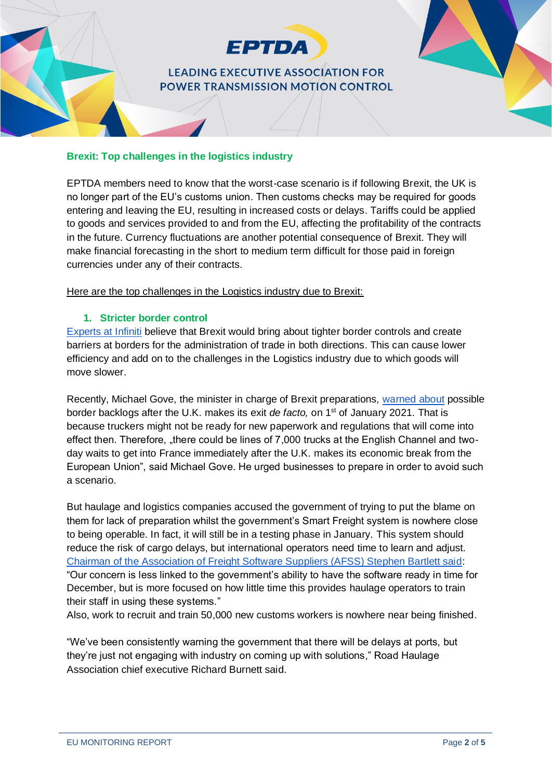

#### **Brexit: Top challenges in the logistics industry**

EPTDA members need to know that the worst-case scenario is if following Brexit, the UK is no longer part of the EU's customs union. Then customs checks may be required for goods entering and leaving the EU, resulting in increased costs or delays. Tariffs could be applied to goods and services provided to and from the EU, affecting the profitability of the contracts in the future. Currency fluctuations are another potential consequence of Brexit. They will make financial forecasting in the short to medium term difficult for those paid in foreign currencies under any of their contracts.

Here are the top challenges in the Logistics industry due to Brexit:

#### **1. Stricter border control**

[Experts at Infiniti](https://www.businesswire.com/news/home/20190813005059/en/Brexit-Impact-Logistics-Industry-Experts-Infiniti-Examine) believe that Brexit would bring about tighter border controls and create barriers at borders for the administration of trade in both directions. This can cause lower efficiency and add on to the challenges in the Logistics industry due to which goods will move slower.

Recently, Michael Gove, the minister in charge of Brexit preparations, [warned about](https://apnews.com/article/global-trade-english-channel-brexit-france-london-8c11a39d3cf24b4fdf038db2b8cf0c78) possible border backlogs after the U.K. makes its exit *de facto*, on 1<sup>st</sup> of January 2021. That is because truckers might not be ready for new paperwork and regulations that will come into effect then. Therefore, "there could be lines of 7,000 trucks at the English Channel and twoday waits to get into France immediately after the U.K. makes its economic break from the European Union", said Michael Gove. He urged businesses to prepare in order to avoid such a scenario.

But haulage and logistics companies accused the government of trying to put the blame on them for lack of preparation whilst the government's Smart Freight system is nowhere close to being operable. In fact, it will still be in a testing phase in January. This system should reduce the risk of cargo delays, but international operators need time to learn and adjust. [Chairman of the Association of Freight Software Suppliers \(AFSS\) Stephen Bartlett said:](https://theloadstar.com/more-post-brexit-logistics-confusion-as-new-customs-it-systems-are-refined/) "Our concern is less linked to the government's ability to have the software ready in time for December, but is more focused on how little time this provides haulage operators to train their staff in using these systems."

Also, work to recruit and train 50,000 new customs workers is nowhere near being finished.

"We've been consistently warning the government that there will be delays at ports, but they're just not engaging with industry on coming up with solutions," Road Haulage Association chief executive Richard Burnett said.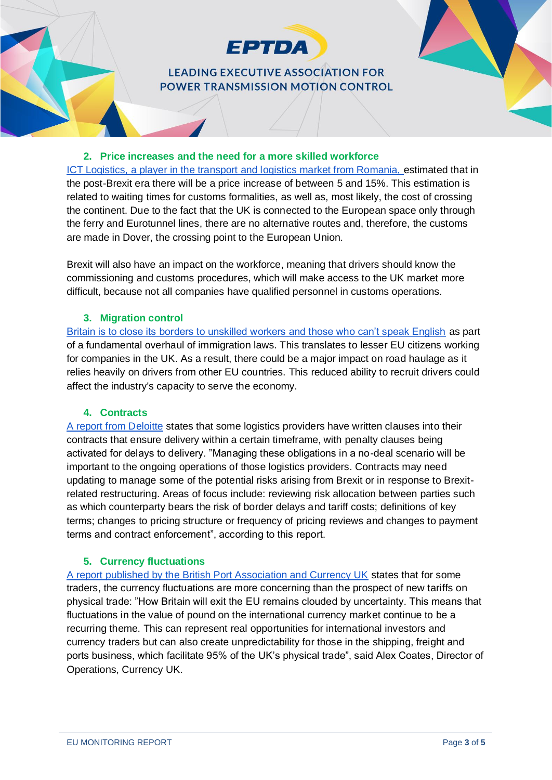

#### **2. Price increases and the need for a more skilled workforce**

[ICT Logistics, a player in the transport and logistics market from Romania, e](https://www.profit.ro/povesti-cu-profit/auto-transporturi/impactul-brexit-ului-in-piata-de-logistica-si-transporturi-cresterea-timpilor-de-tranzit-nevoia-de-soferi-calificati-in-operatiuni-vamale-scumpirea-trecerii-pe-continent-18101190)stimated that in the post-Brexit era there will be a price increase of between 5 and 15%. This estimation is related to waiting times for customs formalities, as well as, most likely, the cost of crossing the continent. Due to the fact that the UK is connected to the European space only through the ferry and Eurotunnel lines, there are no alternative routes and, therefore, the customs are made in Dover, the crossing point to the European Union.

Brexit will also have an impact on the workforce, meaning that drivers should know the commissioning and customs procedures, which will make access to the UK market more difficult, because not all companies have qualified personnel in customs operations.

#### **3. Migration control**

[Britain is to close its borders to unskilled workers and those who can't speak English](https://www.theguardian.com/uk-news/2020/feb/18/uk-to-close-door-to-non-english-speakers-and-unskilled-workers) as part of a fundamental overhaul of immigration laws. This translates to lesser EU citizens working for companies in the UK. As a result, there could be a major impact on road haulage as it relies heavily on drivers from other EU countries. This reduced ability to recruit drivers could affect the industry's capacity to serve the economy.

#### **4. Contracts**

[A report from Deloitte](https://www2.deloitte.com/content/dam/Deloitte/uk/Documents/international-markets/deloitte-uk-brexit-industry-insights-logistics.pdf) states that some logistics providers have written clauses into their contracts that ensure delivery within a certain timeframe, with penalty clauses being activated for delays to delivery. "Managing these obligations in a no-deal scenario will be important to the ongoing operations of those logistics providers. Contracts may need updating to manage some of the potential risks arising from Brexit or in response to Brexitrelated restructuring. Areas of focus include: reviewing risk allocation between parties such as which counterparty bears the risk of border delays and tariff costs; definitions of key terms; changes to pricing structure or frequency of pricing reviews and changes to payment terms and contract enforcement", according to this report.

#### **5. Currency fluctuations**

[A report published by the British Port Association and Currency UK](https://www.britishports.org.uk/news/bpa-and-currency-uk-publish-report-on-decline-in-the-value-of-the-pound) states that for some traders, the currency fluctuations are more concerning than the prospect of new tariffs on physical trade: "How Britain will exit the EU remains clouded by uncertainty. This means that fluctuations in the value of pound on the international currency market continue to be a recurring theme. This can represent real opportunities for international investors and currency traders but can also create unpredictability for those in the shipping, freight and ports business, which facilitate 95% of the UK's physical trade", said Alex Coates, Director of Operations, Currency UK.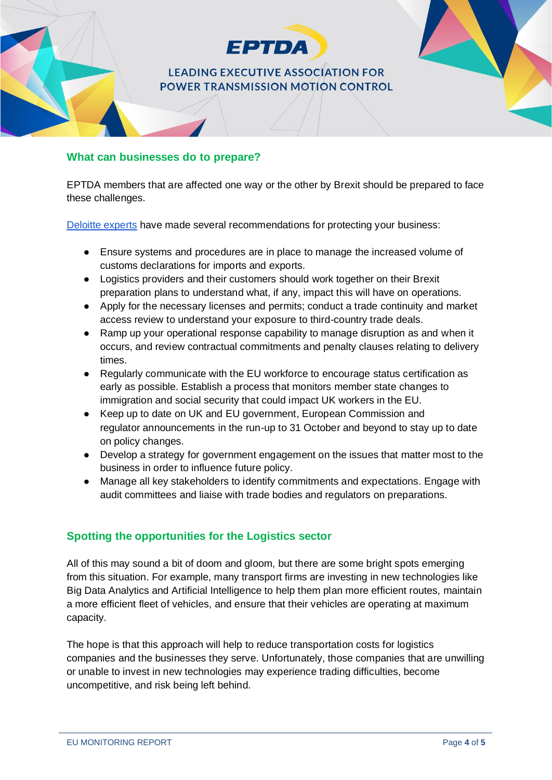

### **What can businesses do to prepare?**

EPTDA members that are affected one way or the other by Brexit should be prepared to face these challenges.

[Deloitte experts](https://www2.deloitte.com/content/dam/Deloitte/uk/Documents/international-markets/deloitte-uk-brexit-industry-insights-logistics.pdf) have made several recommendations for protecting your business:

- Ensure systems and procedures are in place to manage the increased volume of customs declarations for imports and exports.
- Logistics providers and their customers should work together on their Brexit preparation plans to understand what, if any, impact this will have on operations.
- Apply for the necessary licenses and permits; conduct a trade continuity and market access review to understand your exposure to third-country trade deals.
- Ramp up your operational response capability to manage disruption as and when it occurs, and review contractual commitments and penalty clauses relating to delivery times.
- Regularly communicate with the EU workforce to encourage status certification as early as possible. Establish a process that monitors member state changes to immigration and social security that could impact UK workers in the EU.
- Keep up to date on UK and EU government, European Commission and regulator announcements in the run-up to 31 October and beyond to stay up to date on policy changes.
- Develop a strategy for government engagement on the issues that matter most to the business in order to influence future policy.
- Manage all key stakeholders to identify commitments and expectations. Engage with audit committees and liaise with trade bodies and regulators on preparations.

## **Spotting the opportunities for the Logistics sector**

All of this may sound a bit of doom and gloom, but there are some bright spots emerging from this situation. For example, many transport firms are investing in new technologies like Big Data Analytics and Artificial Intelligence to help them plan more efficient routes, maintain a more efficient fleet of vehicles, and ensure that their vehicles are operating at maximum capacity.

The hope is that this approach will help to reduce transportation costs for logistics companies and the businesses they serve. Unfortunately, those companies that are unwilling or unable to invest in new technologies may experience trading difficulties, become uncompetitive, and risk being left behind.